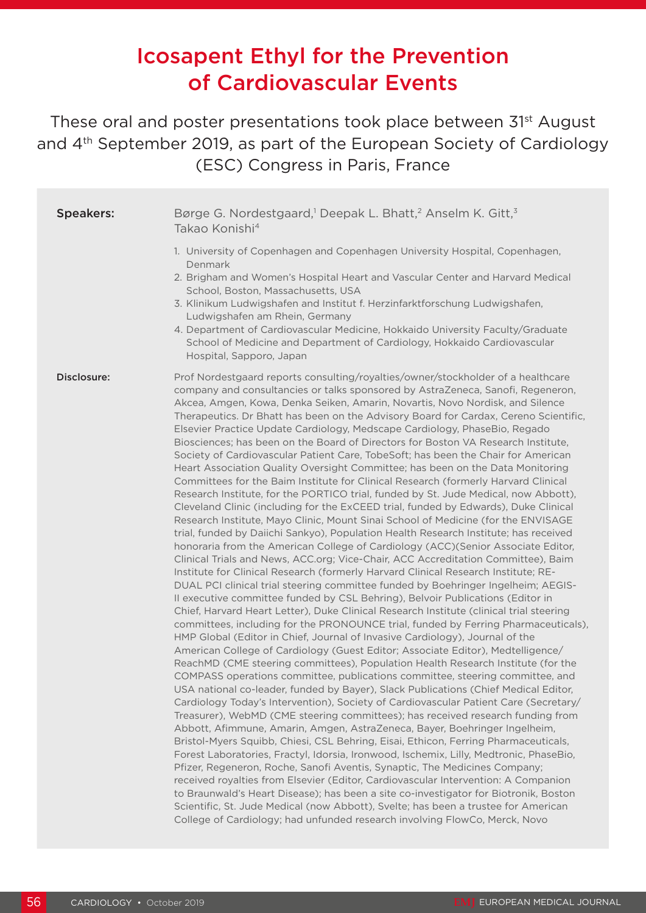# Icosapent Ethyl for the Prevention of Cardiovascular Events

These oral and poster presentations took place between 31st August and 4<sup>th</sup> September 2019, as part of the European Society of Cardiology (ESC) Congress in Paris, France

| <b>Speakers:</b> | Børge G. Nordestgaard, <sup>1</sup> Deepak L. Bhatt, <sup>2</sup> Anselm K. Gitt, <sup>3</sup><br>Takao Konishi <sup>4</sup>                                                                                                                                                                                                                                                                                                                                                                                                                                                                                                                                                                                                                                                                                                                                                                                                                                                                                                                                                                                                                                                                                                                                                                                                                                                                                                                                                                                                                                                                                                                                                                                                                                                                                                                                                                                                                                                                                                                                                                                                                                                                                                                                                                                                                                                                                                                                                                                                                                                                                                                                                                                                                                                                                                                                                                                                                                                                                                                                            |
|------------------|-------------------------------------------------------------------------------------------------------------------------------------------------------------------------------------------------------------------------------------------------------------------------------------------------------------------------------------------------------------------------------------------------------------------------------------------------------------------------------------------------------------------------------------------------------------------------------------------------------------------------------------------------------------------------------------------------------------------------------------------------------------------------------------------------------------------------------------------------------------------------------------------------------------------------------------------------------------------------------------------------------------------------------------------------------------------------------------------------------------------------------------------------------------------------------------------------------------------------------------------------------------------------------------------------------------------------------------------------------------------------------------------------------------------------------------------------------------------------------------------------------------------------------------------------------------------------------------------------------------------------------------------------------------------------------------------------------------------------------------------------------------------------------------------------------------------------------------------------------------------------------------------------------------------------------------------------------------------------------------------------------------------------------------------------------------------------------------------------------------------------------------------------------------------------------------------------------------------------------------------------------------------------------------------------------------------------------------------------------------------------------------------------------------------------------------------------------------------------------------------------------------------------------------------------------------------------------------------------------------------------------------------------------------------------------------------------------------------------------------------------------------------------------------------------------------------------------------------------------------------------------------------------------------------------------------------------------------------------------------------------------------------------------------------------------------------------|
|                  | 1. University of Copenhagen and Copenhagen University Hospital, Copenhagen,<br>Denmark<br>2. Brigham and Women's Hospital Heart and Vascular Center and Harvard Medical<br>School, Boston, Massachusetts, USA<br>3. Klinikum Ludwigshafen and Institut f. Herzinfarktforschung Ludwigshafen,<br>Ludwigshafen am Rhein, Germany<br>4. Department of Cardiovascular Medicine, Hokkaido University Faculty/Graduate<br>School of Medicine and Department of Cardiology, Hokkaido Cardiovascular<br>Hospital, Sapporo, Japan                                                                                                                                                                                                                                                                                                                                                                                                                                                                                                                                                                                                                                                                                                                                                                                                                                                                                                                                                                                                                                                                                                                                                                                                                                                                                                                                                                                                                                                                                                                                                                                                                                                                                                                                                                                                                                                                                                                                                                                                                                                                                                                                                                                                                                                                                                                                                                                                                                                                                                                                                |
| Disclosure:      | Prof Nordestgaard reports consulting/royalties/owner/stockholder of a healthcare<br>company and consultancies or talks sponsored by AstraZeneca, Sanofi, Regeneron,<br>Akcea, Amgen, Kowa, Denka Seiken, Amarin, Novartis, Novo Nordisk, and Silence<br>Therapeutics. Dr Bhatt has been on the Advisory Board for Cardax, Cereno Scientific,<br>Elsevier Practice Update Cardiology, Medscape Cardiology, PhaseBio, Regado<br>Biosciences; has been on the Board of Directors for Boston VA Research Institute,<br>Society of Cardiovascular Patient Care, TobeSoft; has been the Chair for American<br>Heart Association Quality Oversight Committee; has been on the Data Monitoring<br>Committees for the Baim Institute for Clinical Research (formerly Harvard Clinical<br>Research Institute, for the PORTICO trial, funded by St. Jude Medical, now Abbott),<br>Cleveland Clinic (including for the ExCEED trial, funded by Edwards), Duke Clinical<br>Research Institute, Mayo Clinic, Mount Sinai School of Medicine (for the ENVISAGE<br>trial, funded by Daiichi Sankyo), Population Health Research Institute; has received<br>honoraria from the American College of Cardiology (ACC)(Senior Associate Editor,<br>Clinical Trials and News, ACC.org; Vice-Chair, ACC Accreditation Committee), Baim<br>Institute for Clinical Research (formerly Harvard Clinical Research Institute; RE-<br>DUAL PCI clinical trial steering committee funded by Boehringer Ingelheim; AEGIS-<br>Il executive committee funded by CSL Behring), Belvoir Publications (Editor in<br>Chief, Harvard Heart Letter), Duke Clinical Research Institute (clinical trial steering<br>committees, including for the PRONOUNCE trial, funded by Ferring Pharmaceuticals),<br>HMP Global (Editor in Chief, Journal of Invasive Cardiology), Journal of the<br>American College of Cardiology (Guest Editor; Associate Editor), Medtelligence/<br>ReachMD (CME steering committees), Population Health Research Institute (for the<br>COMPASS operations committee, publications committee, steering committee, and<br>USA national co-leader, funded by Bayer), Slack Publications (Chief Medical Editor,<br>Cardiology Today's Intervention), Society of Cardiovascular Patient Care (Secretary/<br>Treasurer), WebMD (CME steering committees); has received research funding from<br>Abbott, Afimmune, Amarin, Amgen, AstraZeneca, Bayer, Boehringer Ingelheim,<br>Bristol-Myers Squibb, Chiesi, CSL Behring, Eisai, Ethicon, Ferring Pharmaceuticals,<br>Forest Laboratories, Fractyl, Idorsia, Ironwood, Ischemix, Lilly, Medtronic, PhaseBio,<br>Pfizer, Regeneron, Roche, Sanofi Aventis, Synaptic, The Medicines Company;<br>received royalties from Elsevier (Editor, Cardiovascular Intervention: A Companion<br>to Braunwald's Heart Disease); has been a site co-investigator for Biotronik, Boston<br>Scientific, St. Jude Medical (now Abbott), Svelte; has been a trustee for American<br>College of Cardiology; had unfunded research involving FlowCo, Merck, Novo |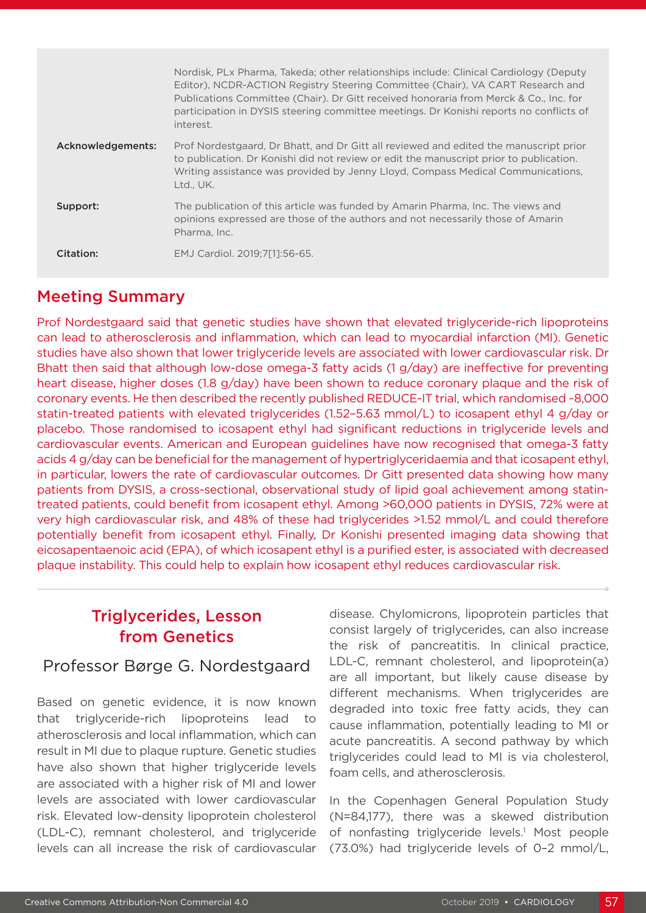|                   | Nordisk, PLx Pharma, Takeda; other relationships include: Clinical Cardiology (Deputy<br>Editor), NCDR-ACTION Registry Steering Committee (Chair), VA CART Research and<br>Publications Committee (Chair). Dr Gitt received honoraria from Merck & Co., Inc. for<br>participation in DYSIS steering committee meetings. Dr Konishi reports no conflicts of<br>interest. |
|-------------------|-------------------------------------------------------------------------------------------------------------------------------------------------------------------------------------------------------------------------------------------------------------------------------------------------------------------------------------------------------------------------|
| Acknowledgements: | Prof Nordestgaard, Dr Bhatt, and Dr Gitt all reviewed and edited the manuscript prior<br>to publication. Dr Konishi did not review or edit the manuscript prior to publication.<br>Writing assistance was provided by Jenny Lloyd, Compass Medical Communications,<br>Ltd., UK.                                                                                         |
| Support:          | The publication of this article was funded by Amarin Pharma, Inc. The views and<br>opinions expressed are those of the authors and not necessarily those of Amarin<br>Pharma, Inc.                                                                                                                                                                                      |
| Citation:         | EMJ Cardiol. 2019:7[11:56-65.                                                                                                                                                                                                                                                                                                                                           |

#### Meeting Summary

Prof Nordestgaard said that genetic studies have shown that elevated triglyceride-rich lipoproteins can lead to atherosclerosis and inflammation, which can lead to myocardial infarction (MI). Genetic studies have also shown that lower triglyceride levels are associated with lower cardiovascular risk. Dr Bhatt then said that although low-dose omega-3 fatty acids (1 g/day) are ineffective for preventing heart disease, higher doses (1.8 g/day) have been shown to reduce coronary plaque and the risk of coronary events. He then described the recently published REDUCE-IT trial, which randomised ~8,000 statin-treated patients with elevated triglycerides (1.52–5.63 mmol/L) to icosapent ethyl 4 g/day or placebo. Those randomised to icosapent ethyl had significant reductions in triglyceride levels and cardiovascular events. American and European guidelines have now recognised that omega-3 fatty acids 4 g/day can be beneficial for the management of hypertriglyceridaemia and that icosapent ethyl, in particular, lowers the rate of cardiovascular outcomes. Dr Gitt presented data showing how many patients from DYSIS, a cross-sectional, observational study of lipid goal achievement among statintreated patients, could benefit from icosapent ethyl. Among >60,000 patients in DYSIS, 72% were at very high cardiovascular risk, and 48% of these had triglycerides >1.52 mmol/L and could therefore potentially benefit from icosapent ethyl. Finally, Dr Konishi presented imaging data showing that eicosapentaenoic acid (EPA), of which icosapent ethyl is a purified ester, is associated with decreased plaque instability. This could help to explain how icosapent ethyl reduces cardiovascular risk.

# Triglycerides, Lesson from Genetics

#### Professor Børge G. Nordestgaard

Based on genetic evidence, it is now known that triglyceride-rich lipoproteins lead to atherosclerosis and local inflammation, which can result in MI due to plaque rupture. Genetic studies have also shown that higher triglyceride levels are associated with a higher risk of MI and lower levels are associated with lower cardiovascular risk. Elevated low-density lipoprotein cholesterol (LDL-C), remnant cholesterol, and triglyceride levels can all increase the risk of cardiovascular

disease. Chylomicrons, lipoprotein particles that consist largely of triglycerides, can also increase the risk of pancreatitis. In clinical practice, LDL-C, remnant cholesterol, and lipoprotein(a) are all important, but likely cause disease by different mechanisms. When triglycerides are degraded into toxic free fatty acids, they can cause inflammation, potentially leading to MI or acute pancreatitis. A second pathway by which triglycerides could lead to MI is via cholesterol, foam cells, and atherosclerosis.

In the Copenhagen General Population Study (N=84,177), there was a skewed distribution of nonfasting triglyceride levels.<sup>1</sup> Most people (73.0%) had triglyceride levels of 0–2 mmol/L,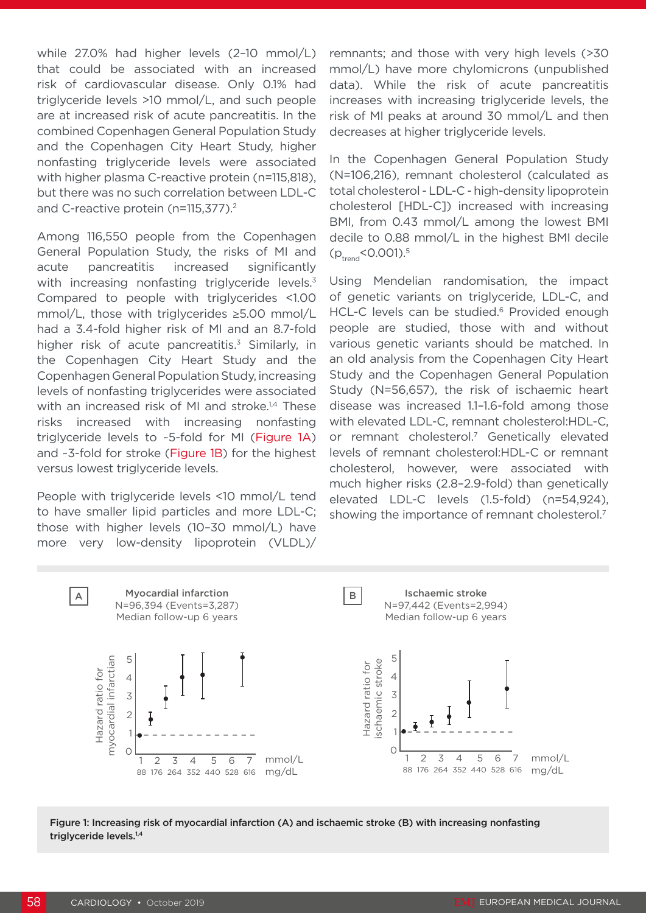while 27.0% had higher levels (2–10 mmol/L) that could be associated with an increased risk of cardiovascular disease. Only 0.1% had triglyceride levels >10 mmol/L, and such people are at increased risk of acute pancreatitis. In the combined Copenhagen General Population Study and the Copenhagen City Heart Study, higher nonfasting triglyceride levels were associated with higher plasma C-reactive protein (n=115,818), but there was no such correlation between LDL-C and C-reactive protein (n=115,377).<sup>2</sup>

Among 116,550 people from the Copenhagen General Population Study, the risks of MI and acute pancreatitis increased significantly with increasing nonfasting triglyceride levels.<sup>3</sup> Compared to people with triglycerides <1.00 mmol/L, those with triglycerides ≥5.00 mmol/L had a 3.4-fold higher risk of MI and an 8.7-fold higher risk of acute pancreatitis.<sup>3</sup> Similarly, in the Copenhagen City Heart Study and the Copenhagen General Population Study, increasing levels of nonfasting triglycerides were associated with an increased risk of MI and stroke.<sup>1,4</sup> These risks increased with increasing nonfasting triglyceride levels to ~5-fold for MI (Figure 1A) and ~3-fold for stroke (Figure 1B) for the highest versus lowest triglyceride levels.

People with triglyceride levels <10 mmol/L tend to have smaller lipid particles and more LDL-C; those with higher levels (10–30 mmol/L) have more very low-density lipoprotein (VLDL)/ remnants; and those with very high levels (>30 mmol/L) have more chylomicrons (unpublished data). While the risk of acute pancreatitis increases with increasing triglyceride levels, the risk of MI peaks at around 30 mmol/L and then decreases at higher triglyceride levels.

In the Copenhagen General Population Study (N=106,216), remnant cholesterol (calculated as total cholesterol - LDL-C - high-density lipoprotein cholesterol [HDL-C]) increased with increasing BMI, from 0.43 mmol/L among the lowest BMI decile to 0.88 mmol/L in the highest BMI decile  $(p_{\text{trend}} < 0.001).5$ 

Using Mendelian randomisation, the impact of genetic variants on triglyceride, LDL-C, and HCL-C levels can be studied.<sup>6</sup> Provided enough people are studied, those with and without various genetic variants should be matched. In an old analysis from the Copenhagen City Heart Study and the Copenhagen General Population Study (N=56,657), the risk of ischaemic heart disease was increased 1.1–1.6-fold among those with elevated LDL-C, remnant cholesterol:HDL-C, or remnant cholesterol.7 Genetically elevated levels of remnant cholesterol:HDL-C or remnant cholesterol, however, were associated with much higher risks (2.8–2.9-fold) than genetically elevated LDL-C levels (1.5-fold) (n=54,924), showing the importance of remnant cholesterol.<sup>7</sup>



Figure 1: Increasing risk of myocardial infarction (A) and ischaemic stroke (B) with increasing nonfasting triglyceride levels.<sup>1,4</sup>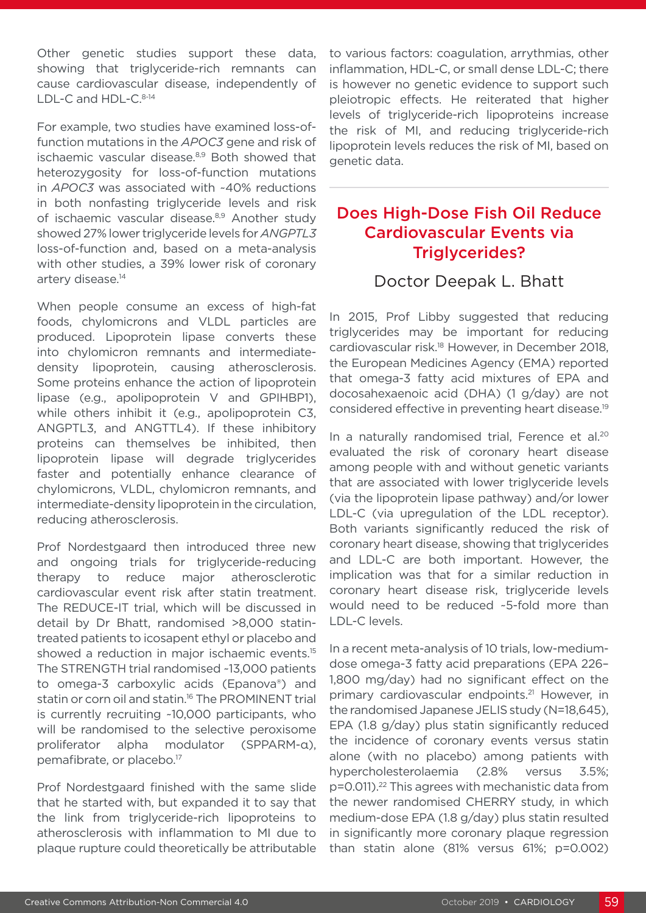Other genetic studies support these data, showing that triglyceride-rich remnants can cause cardiovascular disease, independently of LDL-C and HDL-C.<sup>8-14</sup>

For example, two studies have examined loss-offunction mutations in the *APOC3* gene and risk of ischaemic vascular disease.<sup>8,9</sup> Both showed that heterozygosity for loss-of-function mutations in *APOC3* was associated with ~40% reductions in both nonfasting triglyceride levels and risk of ischaemic vascular disease.<sup>8,9</sup> Another study showed 27% lower triglyceride levels for *ANGPTL3* loss-of-function and, based on a meta-analysis with other studies, a 39% lower risk of coronary artery disease.<sup>14</sup>

When people consume an excess of high-fat foods, chylomicrons and VLDL particles are produced. Lipoprotein lipase converts these into chylomicron remnants and intermediatedensity lipoprotein, causing atherosclerosis. Some proteins enhance the action of lipoprotein lipase (e.g., apolipoprotein V and GPIHBP1), while others inhibit it (e.g., apolipoprotein C3, ANGPTL3, and ANGTTL4). If these inhibitory proteins can themselves be inhibited, then lipoprotein lipase will degrade triglycerides faster and potentially enhance clearance of chylomicrons, VLDL, chylomicron remnants, and intermediate-density lipoprotein in the circulation, reducing atherosclerosis.

Prof Nordestgaard then introduced three new and ongoing trials for triglyceride-reducing therapy to reduce major atherosclerotic cardiovascular event risk after statin treatment. The REDUCE-IT trial, which will be discussed in detail by Dr Bhatt, randomised >8,000 statintreated patients to icosapent ethyl or placebo and showed a reduction in major ischaemic events.<sup>15</sup> The STRENGTH trial randomised ~13,000 patients to omega-3 carboxylic acids (Epanova®) and statin or corn oil and statin.<sup>16</sup> The PROMINENT trial is currently recruiting ~10,000 participants, who will be randomised to the selective peroxisome proliferator alpha modulator (SPPARM-α), pemafibrate, or placebo.17

Prof Nordestgaard finished with the same slide that he started with, but expanded it to say that the link from triglyceride-rich lipoproteins to atherosclerosis with inflammation to MI due to plaque rupture could theoretically be attributable

to various factors: coagulation, arrythmias, other inflammation, HDL-C, or small dense LDL-C; there is however no genetic evidence to support such pleiotropic effects. He reiterated that higher levels of triglyceride-rich lipoproteins increase the risk of MI, and reducing triglyceride-rich lipoprotein levels reduces the risk of MI, based on genetic data.

# Does High-Dose Fish Oil Reduce Cardiovascular Events via Triglycerides?

## Doctor Deepak L. Bhatt

In 2015, Prof Libby suggested that reducing triglycerides may be important for reducing cardiovascular risk.18 However, in December 2018, the European Medicines Agency (EMA) reported that omega-3 fatty acid mixtures of EPA and docosahexaenoic acid (DHA) (1 g/day) are not considered effective in preventing heart disease.19

In a naturally randomised trial, Ference et al.<sup>20</sup> evaluated the risk of coronary heart disease among people with and without genetic variants that are associated with lower triglyceride levels (via the lipoprotein lipase pathway) and/or lower LDL-C (via upregulation of the LDL receptor). Both variants significantly reduced the risk of coronary heart disease, showing that triglycerides and LDL-C are both important. However, the implication was that for a similar reduction in coronary heart disease risk, triglyceride levels would need to be reduced ~5-fold more than LDL-C levels.

In a recent meta-analysis of 10 trials, low-mediumdose omega-3 fatty acid preparations (EPA 226– 1,800 mg/day) had no significant effect on the primary cardiovascular endpoints.21 However, in the randomised Japanese JELIS study (N=18,645), EPA (1.8 g/day) plus statin significantly reduced the incidence of coronary events versus statin alone (with no placebo) among patients with hypercholesterolaemia (2.8% versus 3.5%; p=0.011).22 This agrees with mechanistic data from the newer randomised CHERRY study, in which medium-dose EPA (1.8 g/day) plus statin resulted in significantly more coronary plaque regression than statin alone (81% versus 61%; p=0.002)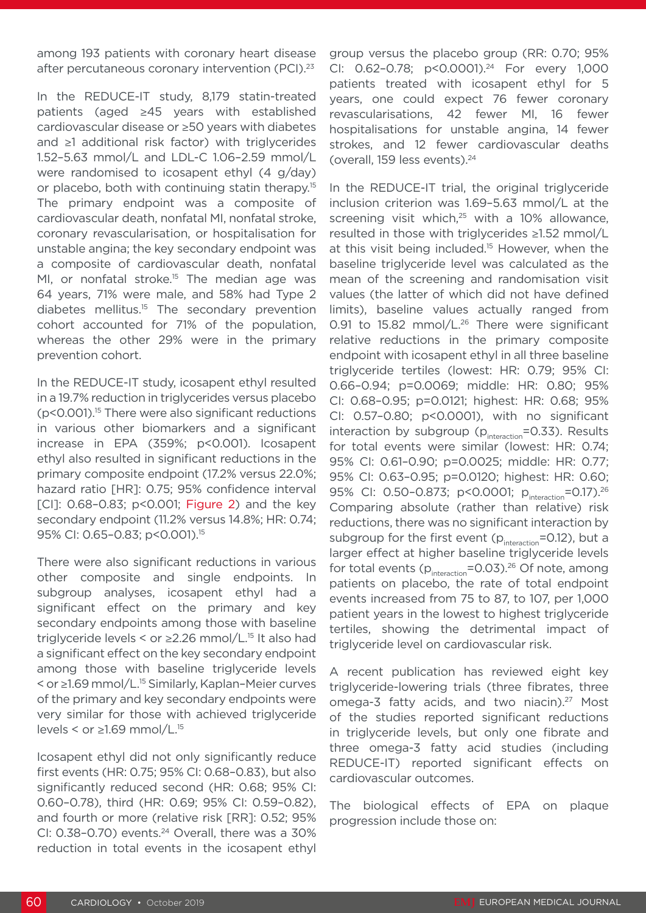among 193 patients with coronary heart disease after percutaneous coronary intervention (PCI).<sup>23</sup>

In the REDUCE-IT study, 8,179 statin-treated patients (aged ≥45 years with established cardiovascular disease or ≥50 years with diabetes and ≥1 additional risk factor) with triglycerides 1.52–5.63 mmol/L and LDL-C 1.06–2.59 mmol/L were randomised to icosapent ethyl (4 g/day) or placebo, both with continuing statin therapy.<sup>15</sup> The primary endpoint was a composite of cardiovascular death, nonfatal MI, nonfatal stroke, coronary revascularisation, or hospitalisation for unstable angina; the key secondary endpoint was a composite of cardiovascular death, nonfatal MI, or nonfatal stroke.<sup>15</sup> The median age was 64 years, 71% were male, and 58% had Type 2 diabetes mellitus.15 The secondary prevention cohort accounted for 71% of the population, whereas the other 29% were in the primary prevention cohort.

In the REDUCE-IT study, icosapent ethyl resulted in a 19.7% reduction in triglycerides versus placebo  $(p<0.001)$ <sup>15</sup> There were also significant reductions in various other biomarkers and a significant increase in EPA (359%; p<0.001). Icosapent ethyl also resulted in significant reductions in the primary composite endpoint (17.2% versus 22.0%; hazard ratio [HR]: 0.75; 95% confidence interval [CI]: 0.68-0.83; p<0.001; Figure 2) and the key secondary endpoint (11.2% versus 14.8%; HR: 0.74; 95% CI: 0.65-0.83; p<0.001).<sup>15</sup>

There were also significant reductions in various other composite and single endpoints. In subgroup analyses, icosapent ethyl had a significant effect on the primary and key secondary endpoints among those with baseline triglyceride levels < or  $\geq$  2.26 mmol/L.<sup>15</sup> It also had a significant effect on the key secondary endpoint among those with baseline triglyceride levels < or ≥1.69 mmol/L.15 Similarly, Kaplan–Meier curves of the primary and key secondary endpoints were very similar for those with achieved triglyceride levels < or  $\geq$ 1.69 mmol/L.<sup>15</sup>

Icosapent ethyl did not only significantly reduce first events (HR: 0.75; 95% CI: 0.68–0.83), but also significantly reduced second (HR: 0.68; 95% CI: 0.60–0.78), third (HR: 0.69; 95% CI: 0.59–0.82), and fourth or more (relative risk [RR]: 0.52; 95% CI:  $0.38 - 0.70$ ) events.<sup>24</sup> Overall, there was a  $30\%$ reduction in total events in the icosapent ethyl group versus the placebo group (RR: 0.70; 95% CI: 0.62-0.78; p<0.0001).<sup>24</sup> For every 1,000 patients treated with icosapent ethyl for 5 years, one could expect 76 fewer coronary revascularisations, 42 fewer MI, 16 fewer hospitalisations for unstable angina, 14 fewer strokes, and 12 fewer cardiovascular deaths (overall, 159 less events).<sup>24</sup>

In the REDUCE-IT trial, the original triglyceride inclusion criterion was 1.69–5.63 mmol/L at the screening visit which,<sup>25</sup> with a 10% allowance, resulted in those with triglycerides ≥1.52 mmol/L at this visit being included.15 However, when the baseline triglyceride level was calculated as the mean of the screening and randomisation visit values (the latter of which did not have defined limits), baseline values actually ranged from 0.91 to 15.82 mmol/L.<sup>26</sup> There were significant relative reductions in the primary composite endpoint with icosapent ethyl in all three baseline triglyceride tertiles (lowest: HR: 0.79; 95% CI: 0.66–0.94; p=0.0069; middle: HR: 0.80; 95% CI: 0.68–0.95; p=0.0121; highest: HR: 0.68; 95% CI: 0.57–0.80; p<0.0001), with no significant interaction by subgroup ( $p_{interaction}$ =0.33). Results for total events were similar (lowest: HR: 0.74; 95% CI: 0.61–0.90; p=0.0025; middle: HR: 0.77; 95% CI: 0.63–0.95; p=0.0120; highest: HR: 0.60; 95% CI: 0.50-0.873; p<0.0001; p<sub>interaction</sub>=0.17).<sup>26</sup> Comparing absolute (rather than relative) risk reductions, there was no significant interaction by subgroup for the first event  $(p_{interaction} = 0.12)$ , but a larger effect at higher baseline triglyceride levels for total events  $(p_{interaction} = 0.03)$ .<sup>26</sup> Of note, among patients on placebo, the rate of total endpoint events increased from 75 to 87, to 107, per 1,000 patient years in the lowest to highest triglyceride tertiles, showing the detrimental impact of triglyceride level on cardiovascular risk.

A recent publication has reviewed eight key triglyceride-lowering trials (three fibrates, three omega-3 fatty acids, and two niacin).<sup>27</sup> Most of the studies reported significant reductions in triglyceride levels, but only one fibrate and three omega-3 fatty acid studies (including REDUCE-IT) reported significant effects on cardiovascular outcomes.

The biological effects of EPA on plaque progression include those on: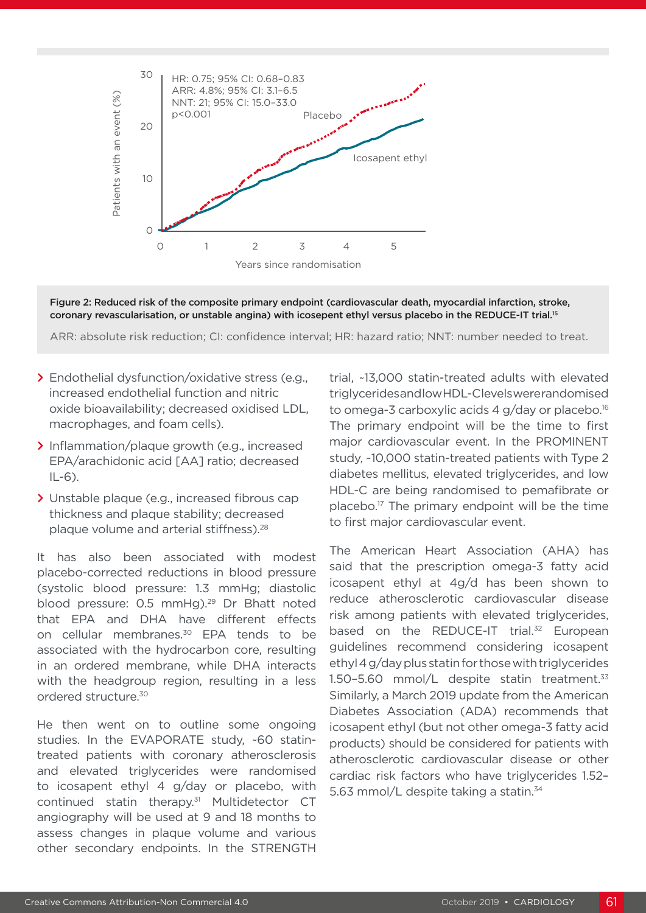

Figure 2: Reduced risk of the composite primary endpoint (cardiovascular death, myocardial infarction, stroke, coronary revascularisation, or unstable angina) with icosepent ethyl versus placebo in the REDUCE-IT trial.15

- **>** Endothelial dysfunction/oxidative stress (e.g., increased endothelial function and nitric oxide bioavailability; decreased oxidised LDL, macrophages, and foam cells).
- **>** Inflammation/plaque growth (e.g., increased EPA/arachidonic acid [AA] ratio; decreased  $IL-6$ ).
- **>** Unstable plaque (e.g., increased fibrous cap thickness and plaque stability; decreased plaque volume and arterial stiffness).28

It has also been associated with modest placebo-corrected reductions in blood pressure (systolic blood pressure: 1.3 mmHg; diastolic blood pressure: 0.5 mmHg).<sup>29</sup> Dr Bhatt noted that EPA and DHA have different effects on cellular membranes.<sup>30</sup> EPA tends to be associated with the hydrocarbon core, resulting in an ordered membrane, while DHA interacts with the headgroup region, resulting in a less ordered structure.30

He then went on to outline some ongoing studies. In the EVAPORATE study, ~60 statintreated patients with coronary atherosclerosis and elevated triglycerides were randomised to icosapent ethyl 4 g/day or placebo, with continued statin therapy.31 Multidetector CT angiography will be used at 9 and 18 months to assess changes in plaque volume and various other secondary endpoints. In the STRENGTH trial, ~13,000 statin-treated adults with elevated triglycerides and low HDL-C levels were randomised to omega-3 carboxylic acids 4 g/day or placebo.16 The primary endpoint will be the time to first major cardiovascular event. In the PROMINENT study, ~10,000 statin-treated patients with Type 2 diabetes mellitus, elevated triglycerides, and low HDL-C are being randomised to pemafibrate or placebo.17 The primary endpoint will be the time to first major cardiovascular event.

The American Heart Association (AHA) has said that the prescription omega-3 fatty acid icosapent ethyl at 4g/d has been shown to reduce atherosclerotic cardiovascular disease risk among patients with elevated triglycerides, based on the REDUCE-IT trial.<sup>32</sup> European guidelines recommend considering icosapent ethyl 4 g/day plus statin for those with triglycerides 1.50-5.60 mmol/L despite statin treatment.<sup>33</sup> Similarly, a March 2019 update from the American Diabetes Association (ADA) recommends that icosapent ethyl (but not other omega-3 fatty acid products) should be considered for patients with atherosclerotic cardiovascular disease or other cardiac risk factors who have triglycerides 1.52– 5.63 mmol/L despite taking a statin.<sup>34</sup>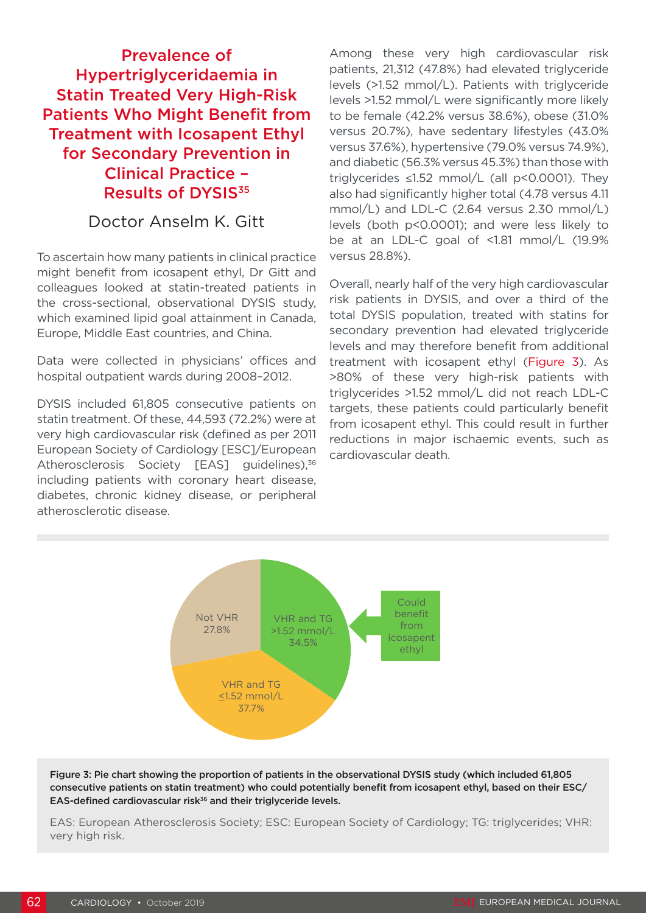# Prevalence of Hypertriglyceridaemia in Statin Treated Very High-Risk Patients Who Might Benefit from Treatment with Icosapent Ethyl for Secondary Prevention in Clinical Practice – Results of DYSIS<sup>35</sup>

## Doctor Anselm K. Gitt

To ascertain how many patients in clinical practice might benefit from icosapent ethyl, Dr Gitt and colleagues looked at statin-treated patients in the cross-sectional, observational DYSIS study, which examined lipid goal attainment in Canada. Europe, Middle East countries, and China.

Data were collected in physicians' offices and hospital outpatient wards during 2008–2012.

DYSIS included 61,805 consecutive patients on statin treatment. Of these, 44,593 (72.2%) were at very high cardiovascular risk (defined as per 2011 European Society of Cardiology [ESC]/European Atherosclerosis Society [EAS] guidelines),<sup>36</sup> including patients with coronary heart disease, diabetes, chronic kidney disease, or peripheral atherosclerotic disease.

Among these very high cardiovascular risk patients, 21,312 (47.8%) had elevated triglyceride levels (>1.52 mmol/L). Patients with triglyceride levels >1.52 mmol/L were significantly more likely to be female (42.2% versus 38.6%), obese (31.0% versus 20.7%), have sedentary lifestyles (43.0% versus 37.6%), hypertensive (79.0% versus 74.9%), and diabetic (56.3% versus 45.3%) than those with triglycerides ≤1.52 mmol/L (all p<0.0001). They also had significantly higher total (4.78 versus 4.11 mmol/L) and LDL-C (2.64 versus 2.30 mmol/L) levels (both p<0.0001); and were less likely to be at an LDL-C goal of <1.81 mmol/L (19.9% versus 28.8%).

Overall, nearly half of the very high cardiovascular risk patients in DYSIS, and over a third of the total DYSIS population, treated with statins for secondary prevention had elevated triglyceride levels and may therefore benefit from additional treatment with icosapent ethyl (Figure 3). As >80% of these very high-risk patients with triglycerides >1.52 mmol/L did not reach LDL-C targets, these patients could particularly benefit from icosapent ethyl. This could result in further reductions in major ischaemic events, such as cardiovascular death.



Figure 3: Pie chart showing the proportion of patients in the observational DYSIS study (which included 61,805 consecutive patients on statin treatment) who could potentially benefit from icosapent ethyl, based on their ESC/ EAS-defined cardiovascular risk<sup>36</sup> and their triglyceride levels.

EAS: European Atherosclerosis Society; ESC: European Society of Cardiology; TG: triglycerides; VHR: very high risk.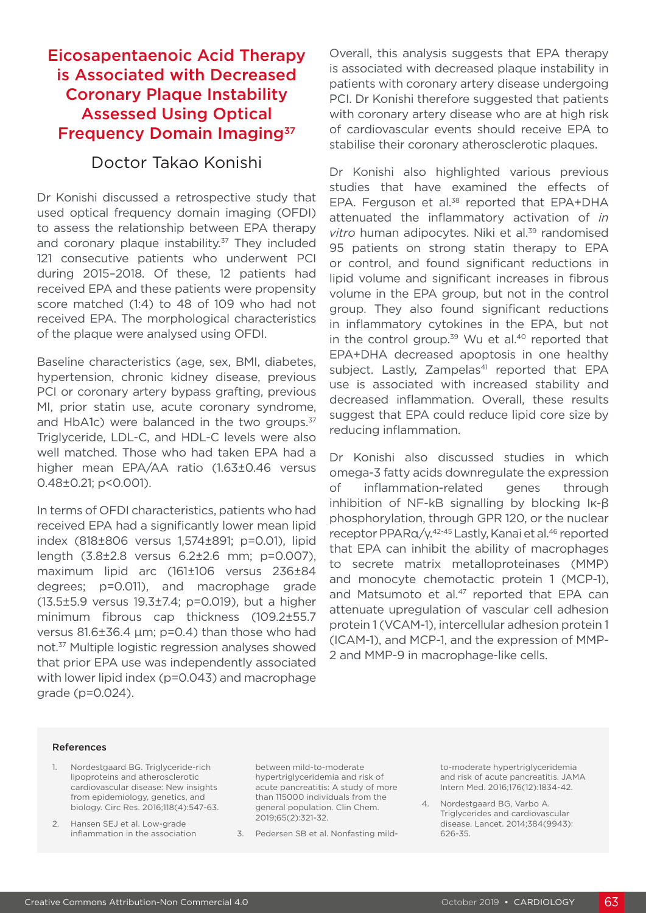# Eicosapentaenoic Acid Therapy is Associated with Decreased Coronary Plaque Instability Assessed Using Optical Frequency Domain Imaging<sup>37</sup>

#### Doctor Takao Konishi

Dr Konishi discussed a retrospective study that used optical frequency domain imaging (OFDI) to assess the relationship between EPA therapy and coronary plaque instability.<sup>37</sup> They included 121 consecutive patients who underwent PCI during 2015–2018. Of these, 12 patients had received EPA and these patients were propensity score matched (1:4) to 48 of 109 who had not received EPA. The morphological characteristics of the plaque were analysed using OFDI.

Baseline characteristics (age, sex, BMI, diabetes, hypertension, chronic kidney disease, previous PCI or coronary artery bypass grafting, previous MI, prior statin use, acute coronary syndrome, and HbA1c) were balanced in the two groups.<sup>37</sup> Triglyceride, LDL-C, and HDL-C levels were also well matched. Those who had taken EPA had a higher mean EPA/AA ratio (1.63±0.46 versus 0.48±0.21; p<0.001).

In terms of OFDI characteristics, patients who had received EPA had a significantly lower mean lipid index (818±806 versus 1,574±891; p=0.01), lipid length (3.8±2.8 versus 6.2±2.6 mm; p=0.007), maximum lipid arc (161±106 versus 236±84 degrees; p=0.011), and macrophage grade (13.5±5.9 versus 19.3±7.4; p=0.019), but a higher minimum fibrous cap thickness (109.2±55.7 versus 81.6±36.4 μm; p=0.4) than those who had not.37 Multiple logistic regression analyses showed that prior EPA use was independently associated with lower lipid index (p=0.043) and macrophage grade (p=0.024).

Overall, this analysis suggests that EPA therapy is associated with decreased plaque instability in patients with coronary artery disease undergoing PCI. Dr Konishi therefore suggested that patients with coronary artery disease who are at high risk of cardiovascular events should receive EPA to stabilise their coronary atherosclerotic plaques.

Dr Konishi also highlighted various previous studies that have examined the effects of EPA. Ferguson et al.<sup>38</sup> reported that EPA+DHA attenuated the inflammatory activation of *in*  vitro human adipocytes. Niki et al.<sup>39</sup> randomised 95 patients on strong statin therapy to EPA or control, and found significant reductions in lipid volume and significant increases in fibrous volume in the EPA group, but not in the control group. They also found significant reductions in inflammatory cytokines in the EPA, but not in the control group.<sup>39</sup> Wu et al.<sup>40</sup> reported that EPA+DHA decreased apoptosis in one healthy subject. Lastly, Zampelas<sup>41</sup> reported that EPA use is associated with increased stability and decreased inflammation. Overall, these results suggest that EPA could reduce lipid core size by reducing inflammation.

Dr Konishi also discussed studies in which omega-3 fatty acids downregulate the expression of inflammation-related genes through inhibition of NF-kB signalling by blocking Iκ-β phosphorylation, through GPR 120, or the nuclear receptor PPARα/γ.<sup>42-45</sup> Lastly, Kanai et al.<sup>46</sup> reported that EPA can inhibit the ability of macrophages to secrete matrix metalloproteinases (MMP) and monocyte chemotactic protein 1 (MCP-1), and Matsumoto et al.<sup>47</sup> reported that EPA can attenuate upregulation of vascular cell adhesion protein 1 (VCAM-1), intercellular adhesion protein 1 (ICAM-1), and MCP-1, and the expression of MMP-2 and MMP-9 in macrophage-like cells.

#### References

- 1. Nordestgaard BG. Triglyceride-rich lipoproteins and atherosclerotic cardiovascular disease: New insights from epidemiology, genetics, and biology. Circ Res. 2016;118(4):547-63.
- 2. Hansen SEJ et al. Low-grade inflammation in the association

between mild-to-moderate hypertriglyceridemia and risk of acute pancreatitis: A study of more than 115000 individuals from the general population. Clin Chem. 2019;65(2):321-32.

3. Pedersen SB et al. Nonfasting mild-

to-moderate hypertriglyceridemia and risk of acute pancreatitis. JAMA Intern Med. 2016;176(12):1834-42.

4. Nordestgaard BG, Varbo A. Triglycerides and cardiovascular disease. Lancet. 2014;384(9943): 626-35.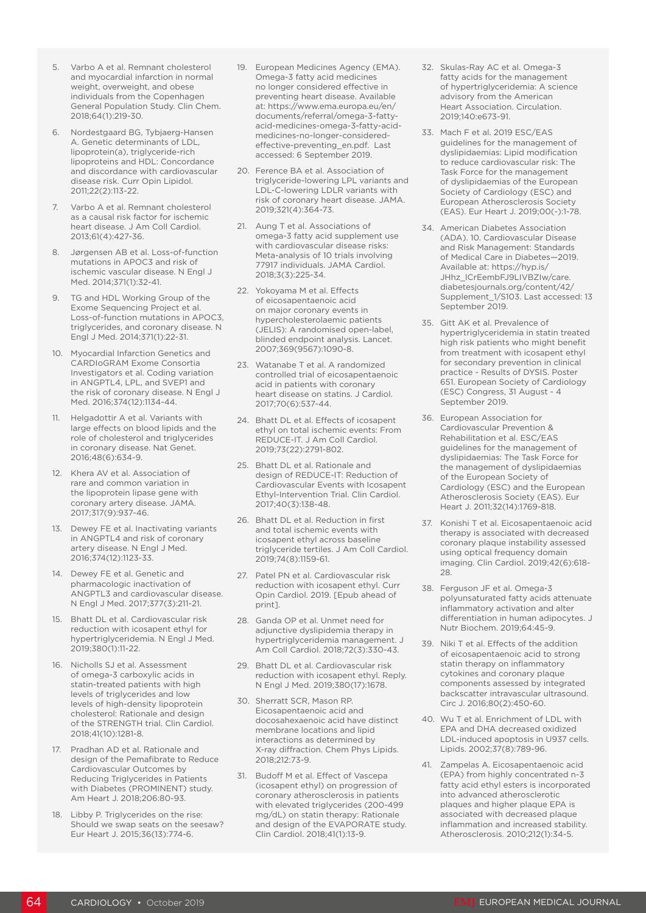- 5. Varbo A et al. Remnant cholesterol and myocardial infarction in normal weight, overweight, and obese individuals from the Copenhagen General Population Study. Clin Chem. 2018;64(1):219-30.
- 6. Nordestgaard BG, Tybjaerg-Hansen A. Genetic determinants of LDL, lipoprotein(a), triglyceride-rich lipoproteins and HDL: Concordance and discordance with cardiovascular disease risk. Curr Opin Lipidol. 2011;22(2):113-22.
- 7. Varbo A et al. Remnant cholesterol as a causal risk factor for ischemic heart disease. J Am Coll Cardiol. 2013;61(4):427-36.
- Jørgensen AB et al. Loss-of-function mutations in APOC3 and risk of ischemic vascular disease. N Engl J Med. 2014;371(1):32-41.
- TG and HDL Working Group of the Exome Sequencing Project et al. Loss-of-function mutations in APOC3, triglycerides, and coronary disease. N Engl J Med. 2014;371(1):22-31.
- 10. Myocardial Infarction Genetics and CARDIoGRAM Exome Consortia Investigators et al. Coding variation in ANGPTL4, LPL, and SVEP1 and the risk of coronary disease. N Engl J Med. 2016;374(12):1134-44.
- 11. Helgadottir A et al. Variants with large effects on blood lipids and the role of cholesterol and triglycerides in coronary disease. Nat Genet. 2016;48(6):634-9.
- 12. Khera AV et al. Association of rare and common variation in the lipoprotein lipase gene with coronary artery disease. JAMA. 2017;317(9):937-46.
- 13. Dewey FE et al. Inactivating variants in ANGPTL4 and risk of coronary artery disease. N Engl J Med. 2016;374(12):1123-33.
- 14. Dewey FE et al. Genetic and pharmacologic inactivation of ANGPTL3 and cardiovascular disease. N Engl J Med. 2017;377(3):211-21.
- 15. Bhatt DL et al. Cardiovascular risk reduction with icosapent ethyl for hypertriglyceridemia. N Engl J Med. 2019;380(1):11-22.
- 16. Nicholls SJ et al. Assessment of omega-3 carboxylic acids in statin-treated patients with high levels of triglycerides and low levels of high-density lipoprotein cholesterol: Rationale and design of the STRENGTH trial. Clin Cardiol. 2018;41(10):1281-8.
- 17. Pradhan AD et al. Rationale and design of the Pemafibrate to Reduce Cardiovascular Outcomes by Reducing Triglycerides in Patients with Diabetes (PROMINENT) study. Am Heart J. 2018;206:80-93.
- 18. Libby P. Triglycerides on the rise: Should we swap seats on the seesaw? Eur Heart J. 2015;36(13):774-6.
- 19. European Medicines Agency (EMA). Omega-3 fatty acid medicines no longer considered effective in preventing heart disease. Available at: https://www.ema.europa.eu/en/ documents/referral/omega-3-fattyacid-medicines-omega-3-fatty-acidmedicines-no-longer-consideredeffective-preventing\_en.pdf. Last accessed: 6 September 2019.
- 20. Ference BA et al. Association of triglyceride-lowering LPL variants and LDL-C-lowering LDLR variants with risk of coronary heart disease. JAMA. 2019;321(4):364-73.
- 21. Aung T et al. Associations of omega-3 fatty acid supplement use with cardiovascular disease risks: Meta-analysis of 10 trials involving 77917 individuals. JAMA Cardiol. 2018;3(3):225-34.
- 22. Yokoyama M et al. Effects of eicosapentaenoic acid on major coronary events in hypercholesterolaemic patients (JELIS): A randomised open-label, blinded endpoint analysis. Lancet. 2007;369(9567):1090-8.
- 23. Watanabe T et al. A randomized controlled trial of eicosapentaenoic acid in patients with coronary heart disease on statins. J Cardiol. 2017;70(6):537-44.
- 24. Bhatt DL et al. Effects of icosapent ethyl on total ischemic events: From REDUCE-IT. J Am Coll Cardiol. 2019;73(22):2791-802.
- 25. Bhatt DL et al. Rationale and design of REDUCE-IT: Reduction of Cardiovascular Events with Icosapent Ethyl-Intervention Trial. Clin Cardiol. 2017;40(3):138-48.
- 26. Bhatt DL et al. Reduction in first and total ischemic events with icosapent ethyl across baseline triglyceride tertiles. J Am Coll Cardiol. 2019;74(8):1159-61.
- 27. Patel PN et al. Cardiovascular risk reduction with icosapent ethyl. Curr Opin Cardiol. 2019. [Epub ahead of print].
- 28. Ganda OP et al. Unmet need for adjunctive dyslipidemia therapy in hypertriglyceridemia management. J Am Coll Cardiol. 2018;72(3):330-43.
- 29. Bhatt DL et al. Cardiovascular risk reduction with icosapent ethyl. Reply. N Engl J Med. 2019;380(17):1678.
- 30. Sherratt SCR, Mason RP. Eicosapentaenoic acid and docosahexaenoic acid have distinct membrane locations and lipid interactions as determined by X-ray diffraction. Chem Phys Lipids. 2018;212:73-9.
- 31. Budoff M et al. Effect of Vascepa (icosapent ethyl) on progression of coronary atherosclerosis in patients with elevated triglycerides (200-499 mg/dL) on statin therapy: Rationale and design of the EVAPORATE study. Clin Cardiol. 2018;41(1):13-9.
- 32. Skulas-Ray AC et al. Omega-3 fatty acids for the management of hypertriglyceridemia: A science advisory from the American Heart Association. Circulation. 2019;140:e673-91.
- 33. Mach F et al. 2019 ESC/EAS guidelines for the management of dyslipidaemias: Lipid modification to reduce cardiovascular risk: The Task Force for the management of dyslipidaemias of the European Society of Cardiology (ESC) and European Atherosclerosis Society (EAS). Eur Heart J. 2019;00(-):1-78.
- 34. American Diabetes Association (ADA). 10. Cardiovascular Disease and Risk Management: Standards of Medical Care in Diabetes—2019. Available at: https://hyp.is/ JHhz\_lCrEembFJ9LIVBZIw/care. diabetesjournals.org/content/42/ Supplement\_1/S103. Last accessed: 13 September 2019.
- 35. Gitt AK et al. Prevalence of hypertriglyceridemia in statin treated high risk patients who might benefit from treatment with icosapent ethyl for secondary prevention in clinical practice - Results of DYSIS. Poster 651. European Society of Cardiology (ESC) Congress, 31 August - 4 September 2019.
- 36. European Association for Cardiovascular Prevention & Rehabilitation et al. ESC/EAS guidelines for the management of dyslipidaemias: The Task Force for the management of dyslipidaemias of the European Society of Cardiology (ESC) and the European Atherosclerosis Society (EAS). Eur Heart J. 2011;32(14):1769-818.
- 37. Konishi T et al. Eicosapentaenoic acid therapy is associated with decreased coronary plaque instability assessed using optical frequency domain imaging. Clin Cardiol. 2019;42(6):618- 28.
- 38. Ferguson JF et al. Omega-3 polyunsaturated fatty acids attenuate inflammatory activation and alter differentiation in human adipocytes. J Nutr Biochem. 2019;64:45-9.
- 39. Niki T et al. Effects of the addition of eicosapentaenoic acid to strong statin therapy on inflammatory cytokines and coronary plaque components assessed by integrated backscatter intravascular ultrasound. Circ J. 2016;80(2):450-60.
- 40. Wu T et al. Enrichment of LDL with EPA and DHA decreased oxidized LDL-induced apoptosis in U937 cells. Lipids. 2002;37(8):789-96.
- 41. Zampelas A. Eicosapentaenoic acid (EPA) from highly concentrated n-3 fatty acid ethyl esters is incorporated into advanced atherosclerotic plaques and higher plaque EPA is associated with decreased plaque inflammation and increased stability. Atherosclerosis. 2010;212(1):34-5.